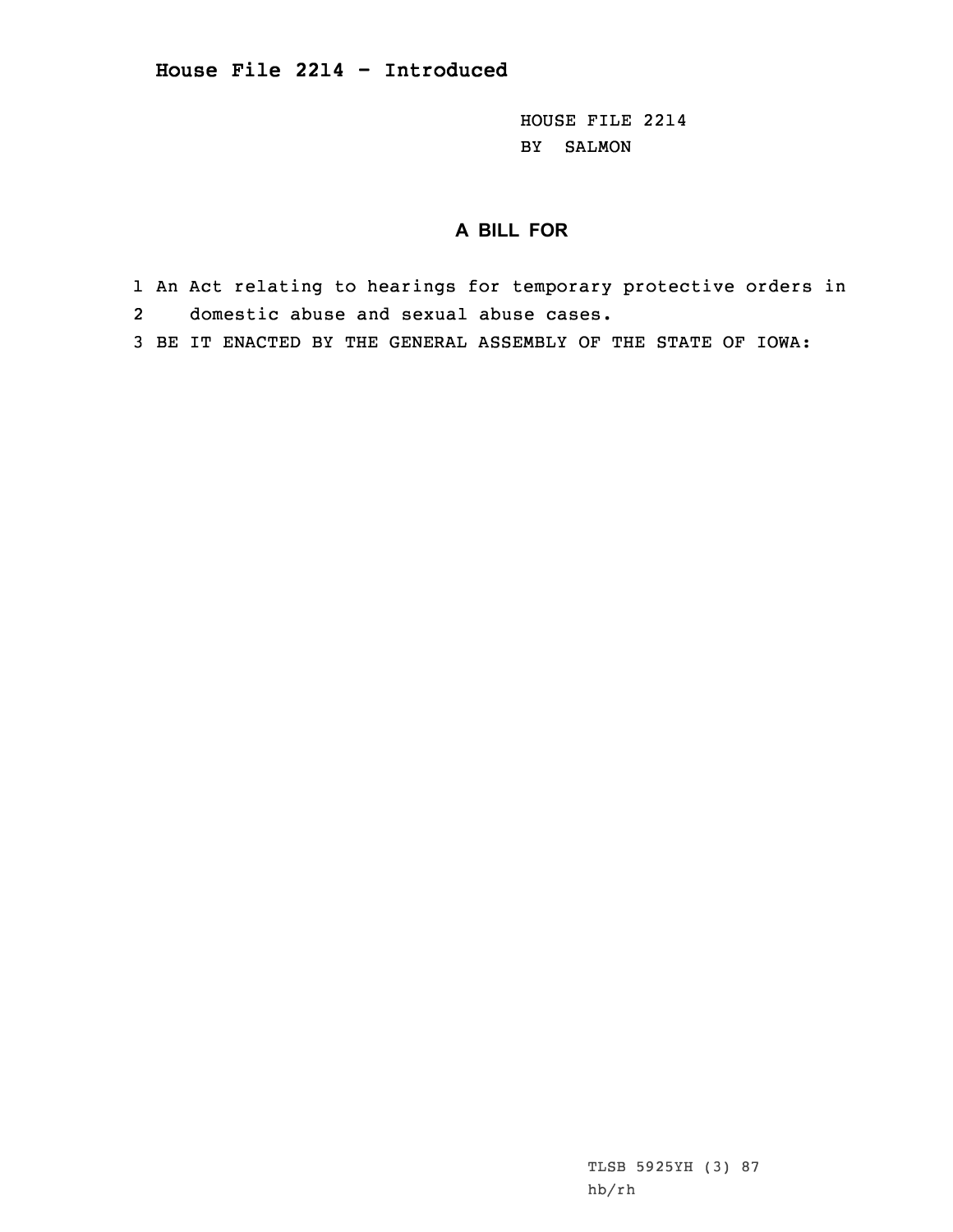HOUSE FILE 2214 BY SALMON

## **A BILL FOR**

- 1 An Act relating to hearings for temporary protective orders in 2domestic abuse and sexual abuse cases.
- 3 BE IT ENACTED BY THE GENERAL ASSEMBLY OF THE STATE OF IOWA:

TLSB 5925YH (3) 87 hb/rh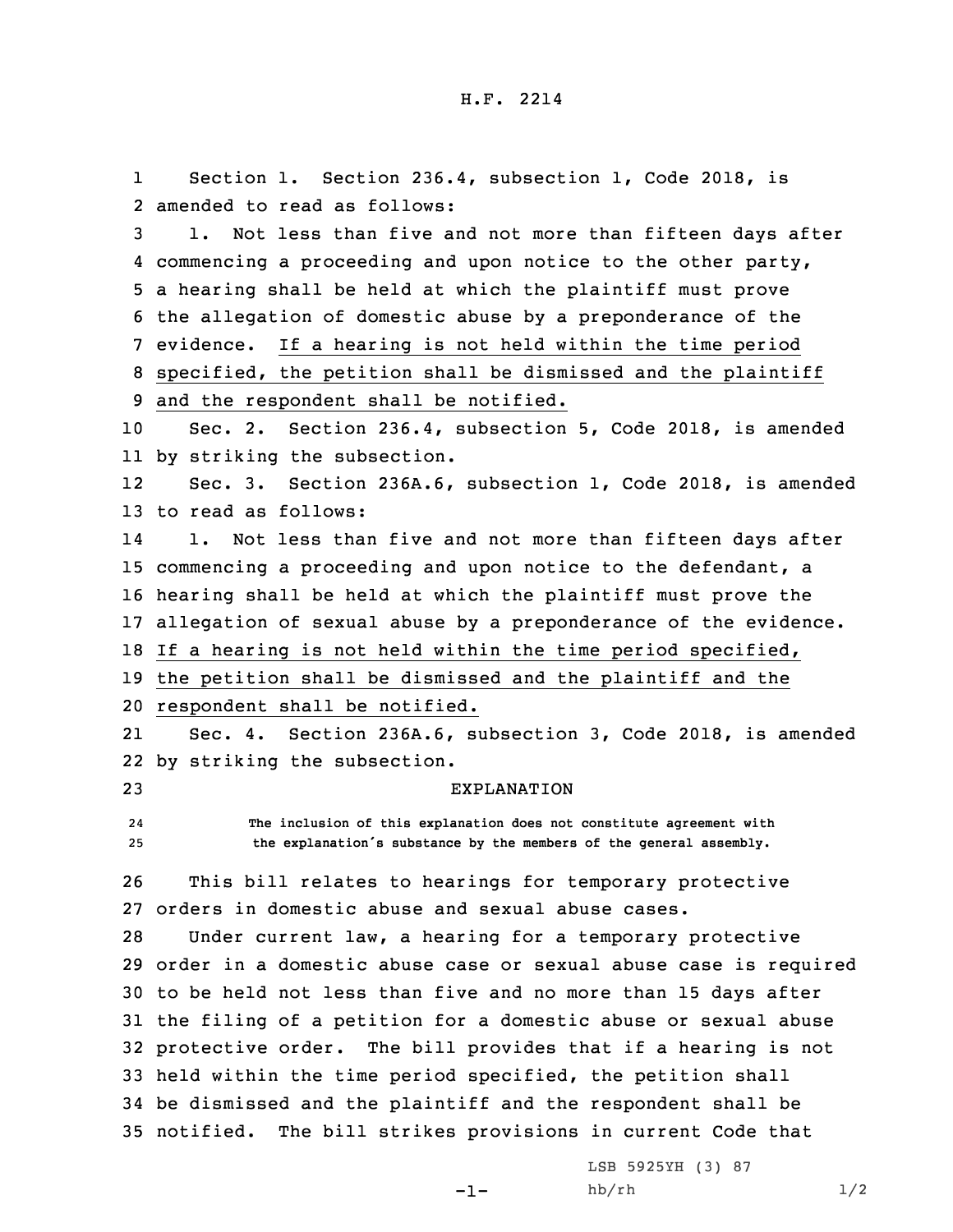1 Section 1. Section 236.4, subsection 1, Code 2018, is amended to read as follows: 1. Not less than five and not more than fifteen days after commencing <sup>a</sup> proceeding and upon notice to the other party, <sup>a</sup> hearing shall be held at which the plaintiff must prove the allegation of domestic abuse by <sup>a</sup> preponderance of the evidence. If <sup>a</sup> hearing is not held within the time period specified, the petition shall be dismissed and the plaintiff and the respondent shall be notified. Sec. 2. Section 236.4, subsection 5, Code 2018, is amended by striking the subsection. 12 Sec. 3. Section 236A.6, subsection 1, Code 2018, is amended to read as follows: 14 1. Not less than five and not more than fifteen days after commencing <sup>a</sup> proceeding and upon notice to the defendant, <sup>a</sup> hearing shall be held at which the plaintiff must prove the allegation of sexual abuse by <sup>a</sup> preponderance of the evidence. If <sup>a</sup> hearing is not held within the time period specified, the petition shall be dismissed and the plaintiff and the respondent shall be notified. 21 Sec. 4. Section 236A.6, subsection 3, Code 2018, is amended by striking the subsection. EXPLANATION 24 **The inclusion of this explanation does not constitute agreement with the explanation's substance by the members of the general assembly.** This bill relates to hearings for temporary protective orders in domestic abuse and sexual abuse cases. Under current law, <sup>a</sup> hearing for <sup>a</sup> temporary protective order in <sup>a</sup> domestic abuse case or sexual abuse case is required to be held not less than five and no more than 15 days after the filing of <sup>a</sup> petition for <sup>a</sup> domestic abuse or sexual abuse protective order. The bill provides that if <sup>a</sup> hearing is not held within the time period specified, the petition shall be dismissed and the plaintiff and the respondent shall be notified. The bill strikes provisions in current Code that

-1-

LSB 5925YH (3) 87 hb/rh  $1/2$